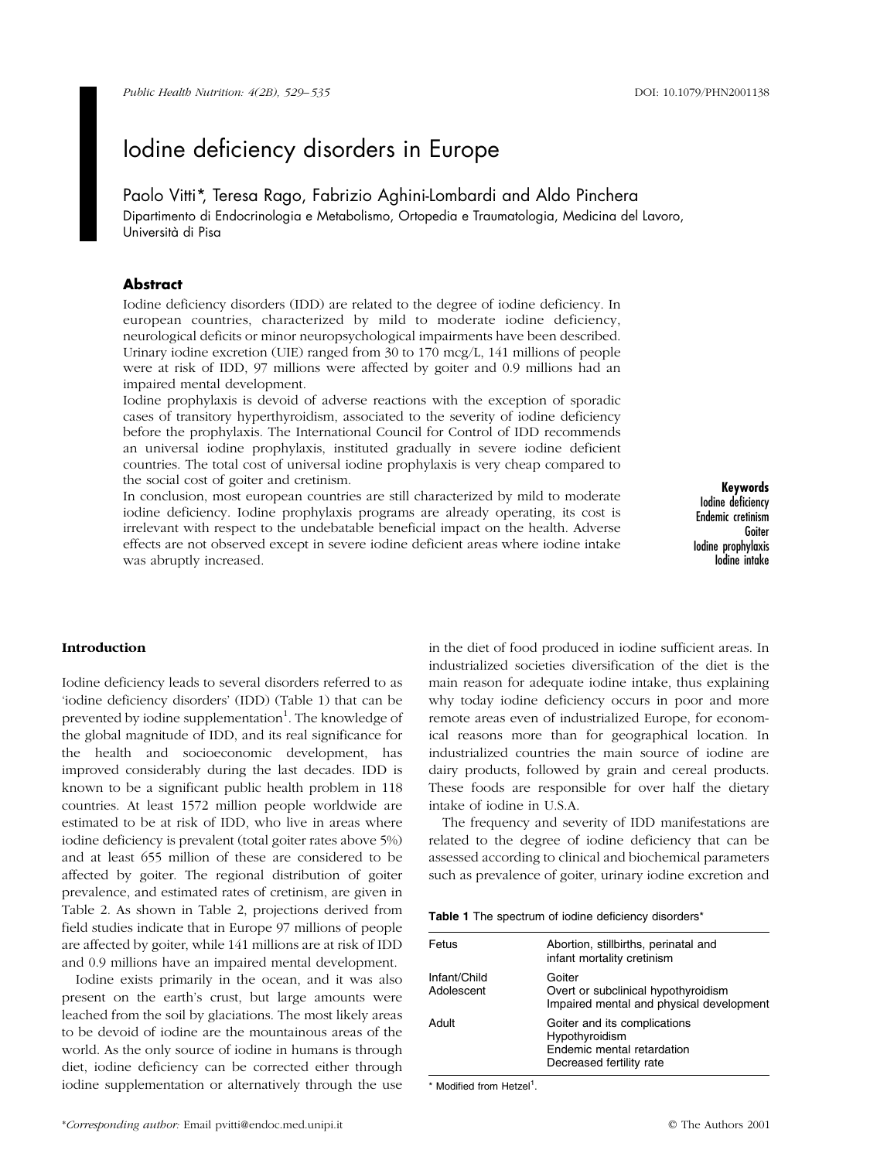Paolo Vitti\*, Teresa Rago, Fabrizio Aghini-Lombardi and Aldo Pinchera Dipartimento di Endocrinologia e Metabolismo, Ortopedia e Traumatologia, Medicina del Lavoro, Università di Pisa

## Abstract

Iodine deficiency disorders (IDD) are related to the degree of iodine deficiency. In european countries, characterized by mild to moderate iodine deficiency, neurological deficits or minor neuropsychological impairments have been described. Urinary iodine excretion (UIE) ranged from 30 to 170 mcg/L, 141 millions of people were at risk of IDD, 97 millions were affected by goiter and 0.9 millions had an impaired mental development.

Iodine prophylaxis is devoid of adverse reactions with the exception of sporadic cases of transitory hyperthyroidism, associated to the severity of iodine deficiency before the prophylaxis. The International Council for Control of IDD recommends an universal iodine prophylaxis, instituted gradually in severe iodine deficient countries. The total cost of universal iodine prophylaxis is very cheap compared to the social cost of goiter and cretinism.

In conclusion, most european countries are still characterized by mild to moderate iodine deficiency. Iodine prophylaxis programs are already operating, its cost is irrelevant with respect to the undebatable beneficial impact on the health. Adverse effects are not observed except in severe iodine deficient areas where iodine intake was abruptly increased.

Keywords Iodine deficiency Endemic cretinism Goiter Iodine prophylaxis Iodine intake

#### Introduction

Iodine deficiency leads to several disorders referred to as `iodine deficiency disorders' (IDD) (Table 1) that can be prevented by iodine supplementation<sup>1</sup>. The knowledge of the global magnitude of IDD, and its real significance for the health and socioeconomic development, has improved considerably during the last decades. IDD is known to be a significant public health problem in 118 countries. At least 1572 million people worldwide are estimated to be at risk of IDD, who live in areas where iodine deficiency is prevalent (total goiter rates above 5%) and at least 655 million of these are considered to be affected by goiter. The regional distribution of goiter prevalence, and estimated rates of cretinism, are given in [Table 2.](#page-1-0) As shown i[n Table 2,](#page-1-0) projections derived from field studies indicate that in Europe 97 millions of people are affected by goiter, while 141 millions are at risk of IDD and 0.9 millions have an impaired mental development.

Iodine exists primarily in the ocean, and it was also present on the earth's crust, but large amounts were leached from the soil by glaciations. The most likely areas to be devoid of iodine are the mountainous areas of the world. As the only source of iodine in humans is through diet, iodine deficiency can be corrected either through iodine supplementation or alternatively through the use

in the diet of food produced in iodine sufficient areas. In industrialized societies diversification of the diet is the main reason for adequate iodine intake, thus explaining why today iodine deficiency occurs in poor and more remote areas even of industrialized Europe, for economical reasons more than for geographical location. In industrialized countries the main source of iodine are dairy products, followed by grain and cereal products. These foods are responsible for over half the dietary intake of iodine in U.S.A.

The frequency and severity of IDD manifestations are related to the degree of iodine deficiency that can be assessed according to clinical and biochemical parameters such as prevalence of goiter, urinary iodine excretion and

| Table 1 The spectrum of iodine deficiency disorders* |  |  |  |  |
|------------------------------------------------------|--|--|--|--|
|------------------------------------------------------|--|--|--|--|

| Fetus                      | Abortion, stillbirths, perinatal and<br>infant mortality cretinism                                       |
|----------------------------|----------------------------------------------------------------------------------------------------------|
| Infant/Child<br>Adolescent | Goiter<br>Overt or subclinical hypothyroidism<br>Impaired mental and physical development                |
| Adult                      | Goiter and its complications<br>Hypothyroidism<br>Endemic mental retardation<br>Decreased fertility rate |

\* Modified from Hetzel<sup>1</sup>.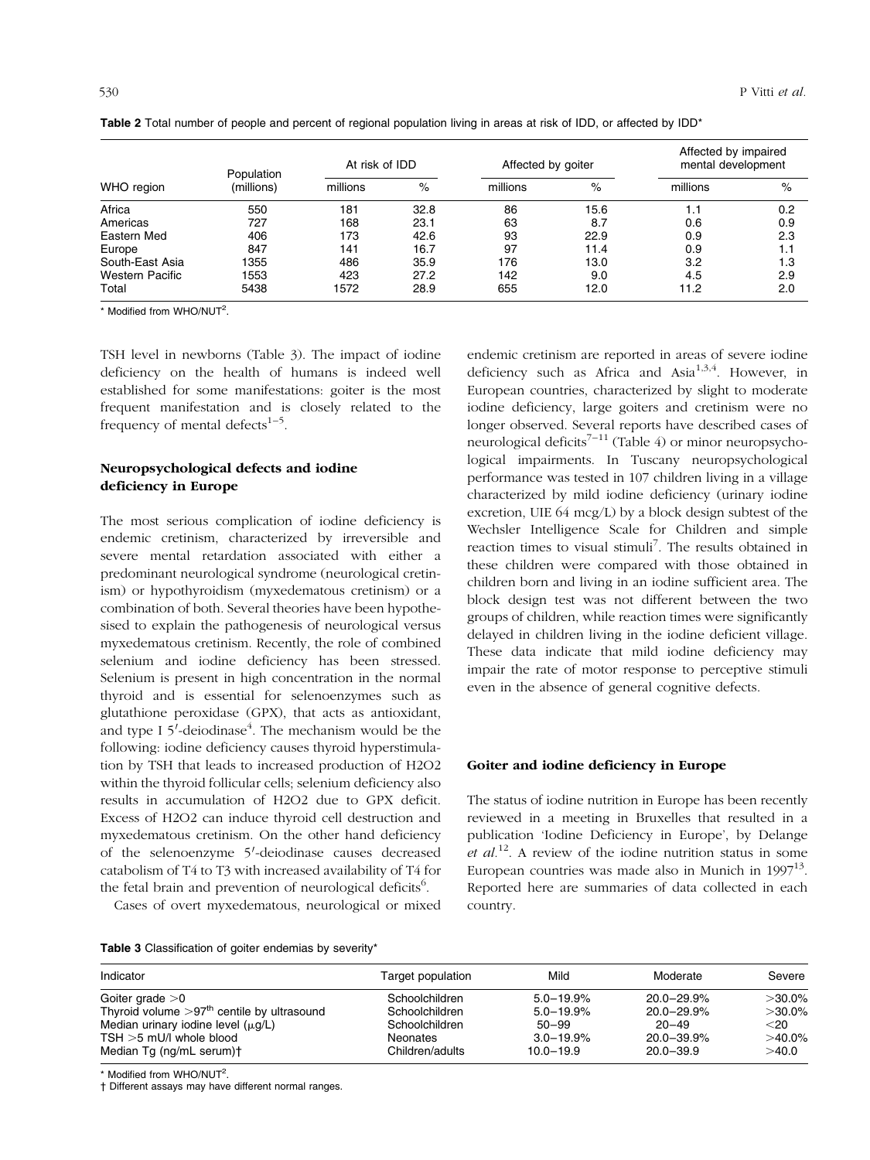|                        | Population<br>(millions) | At risk of IDD |      | Affected by goiter |      | Affected by impaired<br>mental development |      |
|------------------------|--------------------------|----------------|------|--------------------|------|--------------------------------------------|------|
| WHO region             |                          | millions       | $\%$ | millions           | $\%$ | millions                                   | $\%$ |
| Africa                 | 550                      | 181            | 32.8 | 86                 | 15.6 | 1.1                                        | 0.2  |
| Americas               | 727                      | 168            | 23.1 | 63                 | 8.7  | 0.6                                        | 0.9  |
| Eastern Med            | 406                      | 173            | 42.6 | 93                 | 22.9 | 0.9                                        | 2.3  |
| Europe                 | 847                      | 141            | 16.7 | 97                 | 11.4 | 0.9                                        | 1.1  |
| South-East Asia        | 1355                     | 486            | 35.9 | 176                | 13.0 | 3.2                                        | 1.3  |
| <b>Western Pacific</b> | 1553                     | 423            | 27.2 | 142                | 9.0  | 4.5                                        | 2.9  |
| Total                  | 5438                     | 1572           | 28.9 | 655                | 12.0 | 11.2                                       | 2.0  |

<span id="page-1-0"></span>Table 2 Total number of people and percent of regional population living in areas at risk of IDD, or affected by IDD\*

\* Modified from WHO/NUT<sup>2</sup>.

TSH level in newborns (Table 3). The impact of iodine deficiency on the health of humans is indeed well established for some manifestations: goiter is the most frequent manifestation and is closely related to the frequency of mental defects $1-5$ .

## Neuropsychological defects and iodine deficiency in Europe

The most serious complication of iodine deficiency is endemic cretinism, characterized by irreversible and severe mental retardation associated with either a predominant neurological syndrome (neurological cretinism) or hypothyroidism (myxedematous cretinism) or a combination of both. Several theories have been hypothesised to explain the pathogenesis of neurological versus myxedematous cretinism. Recently, the role of combined selenium and iodine deficiency has been stressed. Selenium is present in high concentration in the normal thyroid and is essential for selenoenzymes such as glutathione peroxidase (GPX), that acts as antioxidant, and type I 5'-deiodinase<sup>4</sup>. The mechanism would be the following: iodine deficiency causes thyroid hyperstimulation by TSH that leads to increased production of H2O2 within the thyroid follicular cells; selenium deficiency also results in accumulation of H2O2 due to GPX deficit. Excess of H2O2 can induce thyroid cell destruction and myxedematous cretinism. On the other hand deficiency of the selenoenzyme 5'-deiodinase causes decreased catabolism of T4 to T3 with increased availability of T4 for the fetal brain and prevention of neurological deficits<sup>6</sup>.

Cases of overt myxedematous, neurological or mixed

Table 3 Classification of goiter endemias by severity\*

endemic cretinism are reported in areas of severe iodine deficiency such as Africa and Asia<sup>1,3,4</sup>. However, in European countries, characterized by slight to moderate iodine deficiency, large goiters and cretinism were no longer observed. Several reports have described cases of neurological deficits<sup>7-11</sup> [\(Table 4\) o](#page-2-0)r minor neuropsychological impairments. In Tuscany neuropsychological performance was tested in 107 children living in a village characterized by mild iodine deficiency (urinary iodine excretion, UIE 64 mcg/L) by a block design subtest of the Wechsler Intelligence Scale for Children and simple reaction times to visual stimuli<sup>7</sup>. The results obtained in these children were compared with those obtained in children born and living in an iodine sufficient area. The block design test was not different between the two groups of children, while reaction times were significantly delayed in children living in the iodine deficient village. These data indicate that mild iodine deficiency may impair the rate of motor response to perceptive stimuli even in the absence of general cognitive defects.

#### Goiter and iodine deficiency in Europe

The status of iodine nutrition in Europe has been recently reviewed in a meeting in Bruxelles that resulted in a publication 'Iodine Deficiency in Europe', by Delange et  $al^{12}$ . A review of the iodine nutrition status in some European countries was made also in Munich in  $1997^{13}$ . Reported here are summaries of data collected in each country.

| Indicator                                    | Target population | Mild          | Moderate        | Severe    |
|----------------------------------------------|-------------------|---------------|-----------------|-----------|
| Goiter grade $>0$                            | Schoolchildren    | $5.0 - 19.9%$ | $20.0 - 29.9%$  | $>30.0\%$ |
| Thyroid volume $>97th$ centile by ultrasound | Schoolchildren    | $5.0 - 19.9%$ | $20.0 - 29.9\%$ | $>30.0\%$ |
| Median urinary iodine level $(\mu q/L)$      | Schoolchildren    | $50 - 99$     | $20 - 49$       | $<$ 20    |
| $TSH > 5$ mU/l whole blood                   | <b>Neonates</b>   | $3.0 - 19.9%$ | $20.0 - 39.9\%$ | $>40.0\%$ |
| Median Tg (ng/mL serum)+                     | Children/adults   | $10.0 - 19.9$ | $20.0 - 39.9$   | >40.0     |

\* Modified from WHO/NUT<sup>2</sup>.

 $\dagger$  Different assays may have different normal ranges.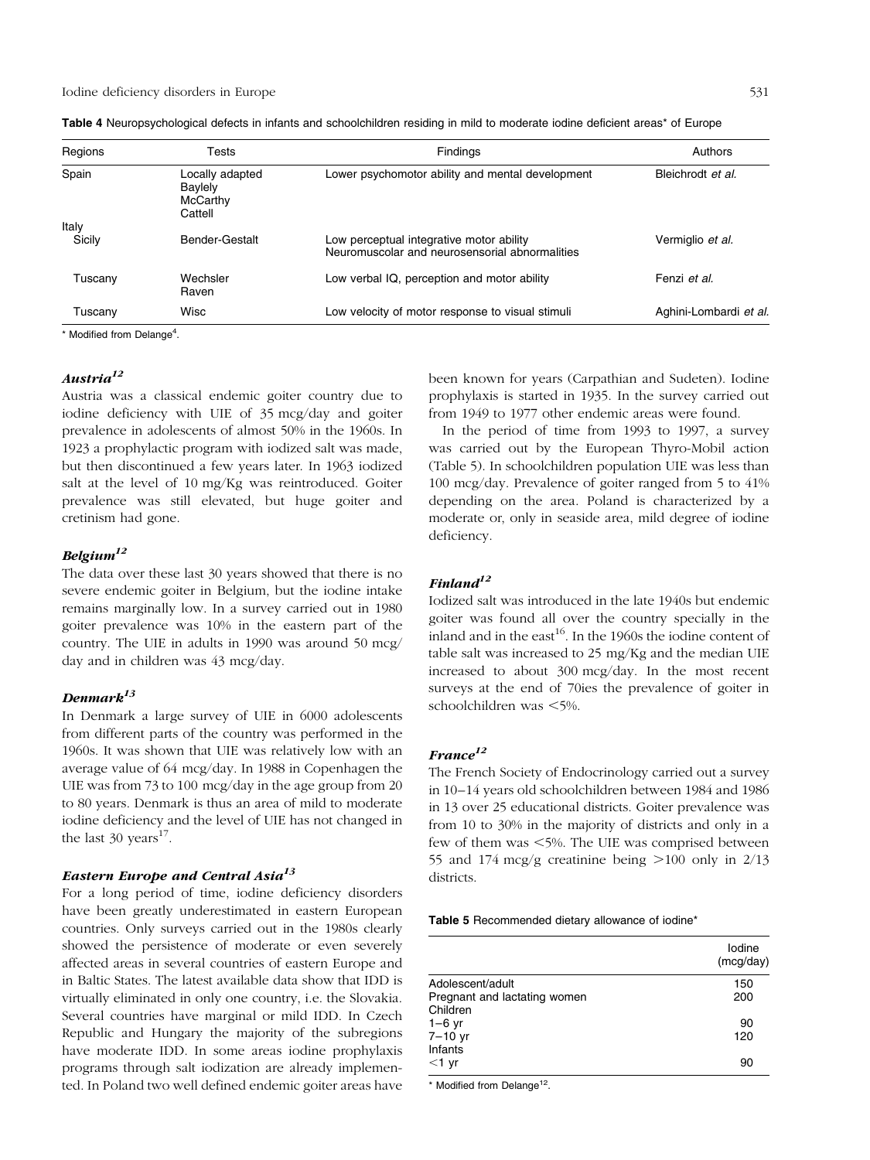| Regions         | Tests                                             | Findings                                                                                   | Authors                |
|-----------------|---------------------------------------------------|--------------------------------------------------------------------------------------------|------------------------|
| Spain           | Locally adapted<br>Baylely<br>McCarthy<br>Cattell | Lower psychomotor ability and mental development                                           | Bleichrodt et al.      |
| Italy<br>Sicily | Bender-Gestalt                                    | Low perceptual integrative motor ability<br>Neuromuscolar and neurosensorial abnormalities | Vermiglio et al.       |
| Tuscany         | Wechsler<br>Raven                                 | Low verbal IQ, perception and motor ability                                                | Fenzi et al.           |
| Tuscanv         | Wisc                                              | Low velocity of motor response to visual stimuli                                           | Aghini-Lombardi et al. |

<span id="page-2-0"></span>

\* Modified from Delange<sup>4</sup>.

## $A$ ustria $^{12}$

Austria was a classical endemic goiter country due to iodine deficiency with UIE of 35 mcg/day and goiter prevalence in adolescents of almost 50% in the 1960s. In 1923 a prophylactic program with iodized salt was made, but then discontinued a few years later. In 1963 iodized salt at the level of 10 mg/Kg was reintroduced. Goiter prevalence was still elevated, but huge goiter and cretinism had gone.

## $Belqium<sup>12</sup>$

The data over these last 30 years showed that there is no severe endemic goiter in Belgium, but the iodine intake remains marginally low. In a survey carried out in 1980 goiter prevalence was 10% in the eastern part of the country. The UIE in adults in 1990 was around 50 mcg/ day and in children was 43 mcg/day.

## $Denmark<sup>13</sup>$

In Denmark a large survey of UIE in 6000 adolescents from different parts of the country was performed in the 1960s. It was shown that UIE was relatively low with an average value of 64 mcg/day. In 1988 in Copenhagen the UIE was from 73 to 100 mcg/day in the age group from 20 to 80 years. Denmark is thus an area of mild to moderate iodine deficiency and the level of UIE has not changed in the last  $30 \text{ years}^{17}$ .

## Eastern Europe and Central Asia<sup>13</sup>

For a long period of time, iodine deficiency disorders have been greatly underestimated in eastern European countries. Only surveys carried out in the 1980s clearly showed the persistence of moderate or even severely affected areas in several countries of eastern Europe and in Baltic States. The latest available data show that IDD is virtually eliminated in only one country, i.e. the Slovakia. Several countries have marginal or mild IDD. In Czech Republic and Hungary the majority of the subregions have moderate IDD. In some areas iodine prophylaxis programs through salt iodization are already implemented. In Poland two well defined endemic goiter areas have been known for years (Carpathian and Sudeten). Iodine prophylaxis is started in 1935. In the survey carried out from 1949 to 1977 other endemic areas were found.

In the period of time from 1993 to 1997, a survey was carried out by the European Thyro-Mobil action (Table 5). In schoolchildren population UIE was less than 100 mcg/day. Prevalence of goiter ranged from 5 to 41% depending on the area. Poland is characterized by a moderate or, only in seaside area, mild degree of iodine deficiency.

## $Finland<sup>12</sup>$

Iodized salt was introduced in the late 1940s but endemic goiter was found all over the country specially in the inland and in the east<sup>16</sup>. In the 1960s the iodine content of table salt was increased to 25 mg/Kg and the median UIE increased to about 300 mcg/day. In the most recent surveys at the end of 70ies the prevalence of goiter in  $schoolchildren$  was  $<$ 5%.

#### $France^{12}$

The French Society of Endocrinology carried out a survey in 10-14 years old schoolchildren between 1984 and 1986 in 13 over 25 educational districts. Goiter prevalence was from 10 to 30% in the majority of districts and only in a few of them was  $\leq 5\%$ . The UIE was comprised between 55 and 174 mcg/g creatinine being  $>100$  only in 2/13 districts.

Table 5 Recommended dietary allowance of iodine\*

|                              | Iodine<br>(mcg/day) |
|------------------------------|---------------------|
| Adolescent/adult             | 150                 |
| Pregnant and lactating women | 200                 |
| Children                     |                     |
| $1-6$ yr                     | 90                  |
| 7-10 yr                      | 120                 |
| Infants                      |                     |
| $<$ 1 yr                     | 90                  |

\* Modified from Delange<sup>12</sup>.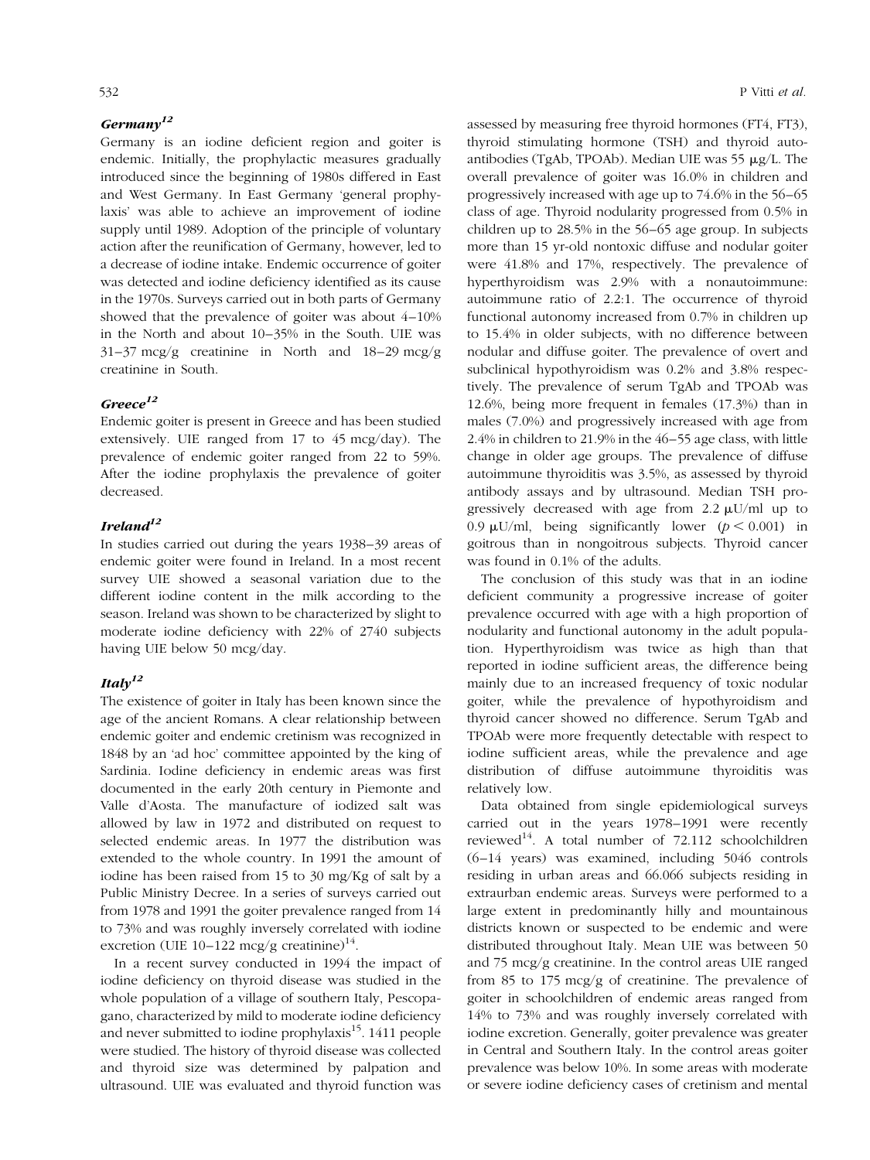## $Germanv^{12}$

Germany is an iodine deficient region and goiter is endemic. Initially, the prophylactic measures gradually introduced since the beginning of 1980s differed in East and West Germany. In East Germany 'general prophylaxis' was able to achieve an improvement of iodine supply until 1989. Adoption of the principle of voluntary action after the reunification of Germany, however, led to a decrease of iodine intake. Endemic occurrence of goiter was detected and iodine deficiency identified as its cause in the 1970s. Surveys carried out in both parts of Germany showed that the prevalence of goiter was about  $4-10\%$ in the North and about 10-35% in the South. UIE was  $31-37 \text{ mcg/g}$  creatinine in North and  $18-29 \text{ mcg/g}$ creatinine in South.

## $Greeze^{12}$

Endemic goiter is present in Greece and has been studied extensively. UIE ranged from 17 to 45 mcg/day). The prevalence of endemic goiter ranged from 22 to 59%. After the iodine prophylaxis the prevalence of goiter decreased.

## $I$ reland $1<sup>2</sup>$

In studies carried out during the years 1938-39 areas of endemic goiter were found in Ireland. In a most recent survey UIE showed a seasonal variation due to the different iodine content in the milk according to the season. Ireland was shown to be characterized by slight to moderate iodine deficiency with 22% of 2740 subjects having UIE below 50 mcg/day.

## Ital $v^{12}$

The existence of goiter in Italy has been known since the age of the ancient Romans. A clear relationship between endemic goiter and endemic cretinism was recognized in 1848 by an `ad hoc' committee appointed by the king of Sardinia. Iodine deficiency in endemic areas was first documented in the early 20th century in Piemonte and Valle d'Aosta. The manufacture of iodized salt was allowed by law in 1972 and distributed on request to selected endemic areas. In 1977 the distribution was extended to the whole country. In 1991 the amount of iodine has been raised from 15 to 30 mg/Kg of salt by a Public Ministry Decree. In a series of surveys carried out from 1978 and 1991 the goiter prevalence ranged from 14 to 73% and was roughly inversely correlated with iodine excretion (UIE 10-122 mcg/g creatinine)<sup>14</sup>.

In a recent survey conducted in 1994 the impact of iodine deficiency on thyroid disease was studied in the whole population of a village of southern Italy, Pescopagano, characterized by mild to moderate iodine deficiency and never submitted to iodine prophylaxis $15$ . 1411 people were studied. The history of thyroid disease was collected and thyroid size was determined by palpation and ultrasound. UIE was evaluated and thyroid function was assessed by measuring free thyroid hormones (FT4, FT3), thyroid stimulating hormone (TSH) and thyroid autoantibodies (TgAb, TPOAb). Median UIE was  $55 \mu g/L$ . The overall prevalence of goiter was 16.0% in children and progressively increased with age up to 74.6% in the 56-65 class of age. Thyroid nodularity progressed from 0.5% in children up to  $28.5\%$  in the  $56-65$  age group. In subjects more than 15 yr-old nontoxic diffuse and nodular goiter were 41.8% and 17%, respectively. The prevalence of hyperthyroidism was 2.9% with a nonautoimmune: autoimmune ratio of 2.2:1. The occurrence of thyroid functional autonomy increased from 0.7% in children up to 15.4% in older subjects, with no difference between nodular and diffuse goiter. The prevalence of overt and subclinical hypothyroidism was 0.2% and 3.8% respectively. The prevalence of serum TgAb and TPOAb was 12.6%, being more frequent in females (17.3%) than in males (7.0%) and progressively increased with age from  $2.4\%$  in children to 21.9% in the  $46-55$  age class, with little change in older age groups. The prevalence of diffuse autoimmune thyroiditis was 3.5%, as assessed by thyroid antibody assays and by ultrasound. Median TSH progressively decreased with age from  $2.2 \mu U/ml$  up to 0.9  $\mu$ U/ml, being significantly lower ( $p < 0.001$ ) in goitrous than in nongoitrous subjects. Thyroid cancer was found in 0.1% of the adults.

The conclusion of this study was that in an iodine deficient community a progressive increase of goiter prevalence occurred with age with a high proportion of nodularity and functional autonomy in the adult population. Hyperthyroidism was twice as high than that reported in iodine sufficient areas, the difference being mainly due to an increased frequency of toxic nodular goiter, while the prevalence of hypothyroidism and thyroid cancer showed no difference. Serum TgAb and TPOAb were more frequently detectable with respect to iodine sufficient areas, while the prevalence and age distribution of diffuse autoimmune thyroiditis was relatively low.

Data obtained from single epidemiological surveys carried out in the years 1978-1991 were recently reviewed<sup>14</sup>. A total number of  $72.112$  schoolchildren  $(6-14$  years) was examined, including  $5046$  controls residing in urban areas and 66.066 subjects residing in extraurban endemic areas. Surveys were performed to a large extent in predominantly hilly and mountainous districts known or suspected to be endemic and were distributed throughout Italy. Mean UIE was between 50 and 75 mcg/g creatinine. In the control areas UIE ranged from 85 to 175 mcg/g of creatinine. The prevalence of goiter in schoolchildren of endemic areas ranged from 14% to 73% and was roughly inversely correlated with iodine excretion. Generally, goiter prevalence was greater in Central and Southern Italy. In the control areas goiter prevalence was below 10%. In some areas with moderate or severe iodine deficiency cases of cretinism and mental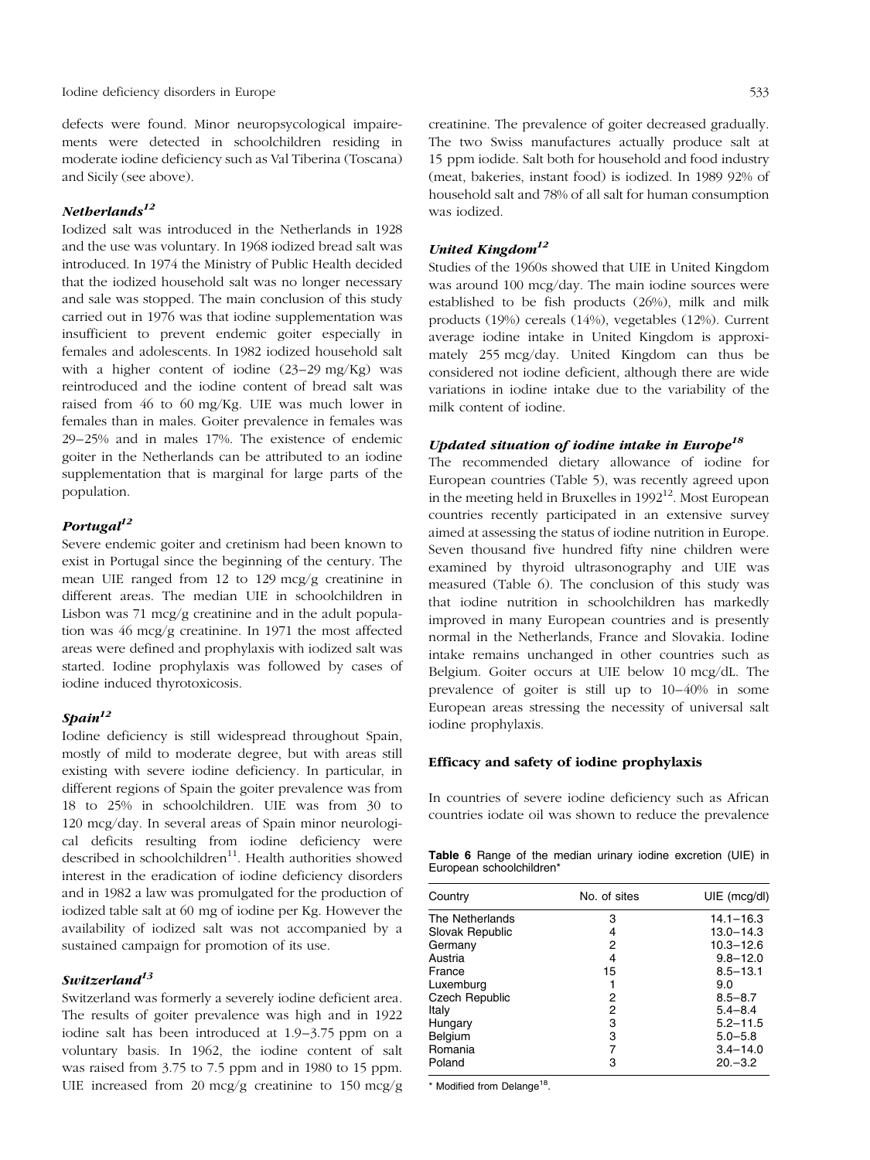defects were found. Minor neuropsycological impairements were detected in schoolchildren residing in moderate iodine deficiency such as Val Tiberina (Toscana) and Sicily (see above).

## $N$ etherlands<sup>12</sup>

Iodized salt was introduced in the Netherlands in 1928 and the use was voluntary. In 1968 iodized bread salt was introduced. In 1974 the Ministry of Public Health decided that the iodized household salt was no longer necessary and sale was stopped. The main conclusion of this study carried out in 1976 was that iodine supplementation was insufficient to prevent endemic goiter especially in females and adolescents. In 1982 iodized household salt with a higher content of iodine  $(23-29 \text{ mg/Kg})$  was reintroduced and the iodine content of bread salt was raised from 46 to 60 mg/Kg. UIE was much lower in females than in males. Goiter prevalence in females was 29±25% and in males 17%. The existence of endemic goiter in the Netherlands can be attributed to an iodine supplementation that is marginal for large parts of the population.

## Portugal $^{12}$

Severe endemic goiter and cretinism had been known to exist in Portugal since the beginning of the century. The mean UIE ranged from 12 to 129 mcg/g creatinine in different areas. The median UIE in schoolchildren in Lisbon was 71 mcg/g creatinine and in the adult population was 46 mcg/g creatinine. In 1971 the most affected areas were defined and prophylaxis with iodized salt was started. Iodine prophylaxis was followed by cases of iodine induced thyrotoxicosis.

## $Stain<sup>12</sup>$

Iodine deficiency is still widespread throughout Spain, mostly of mild to moderate degree, but with areas still existing with severe iodine deficiency. In particular, in different regions of Spain the goiter prevalence was from 18 to 25% in schoolchildren. UIE was from 30 to 120 mcg/day. In several areas of Spain minor neurological deficits resulting from iodine deficiency were described in schoolchildren<sup>11</sup>. Health authorities showed interest in the eradication of iodine deficiency disorders and in 1982 a law was promulgated for the production of iodized table salt at 60 mg of iodine per Kg. However the availability of iodized salt was not accompanied by a sustained campaign for promotion of its use.

## Switzerland $^{13}$

Switzerland was formerly a severely iodine deficient area. The results of goiter prevalence was high and in 1922 iodine salt has been introduced at  $1.9-3.75$  ppm on a voluntary basis. In 1962, the iodine content of salt was raised from 3.75 to 7.5 ppm and in 1980 to 15 ppm. UIE increased from 20 mcg/g creatinine to 150 mcg/g creatinine. The prevalence of goiter decreased gradually. The two Swiss manufactures actually produce salt at 15 ppm iodide. Salt both for household and food industry (meat, bakeries, instant food) is iodized. In 1989 92% of household salt and 78% of all salt for human consumption was iodized.

#### United Kingdom $^{12}$

Studies of the 1960s showed that UIE in United Kingdom was around 100 mcg/day. The main iodine sources were established to be fish products (26%), milk and milk products (19%) cereals (14%), vegetables (12%). Current average iodine intake in United Kingdom is approximately 255 mcg/day. United Kingdom can thus be considered not iodine deficient, although there are wide variations in iodine intake due to the variability of the milk content of iodine.

## Updated situation of iodine intake in Europe<sup>18</sup>

The recommended dietary allowance of iodine for European countrie[s \(Table 5\),](#page-2-0) was recently agreed upon in the meeting held in Bruxelles in  $1992^{12}$ . Most European countries recently participated in an extensive survey aimed at assessing the status of iodine nutrition in Europe. Seven thousand five hundred fifty nine children were examined by thyroid ultrasonography and UIE was measured (Table 6). The conclusion of this study was that iodine nutrition in schoolchildren has markedly improved in many European countries and is presently normal in the Netherlands, France and Slovakia. Iodine intake remains unchanged in other countries such as Belgium. Goiter occurs at UIE below 10 mcg/dL. The prevalence of goiter is still up to  $10-40%$  in some European areas stressing the necessity of universal salt iodine prophylaxis.

### Efficacy and safety of iodine prophylaxis

In countries of severe iodine deficiency such as African countries iodate oil was shown to reduce the prevalence

Table 6 Range of the median urinary iodine excretion (UIE) in European schoolchildren\*

| Country               | No. of sites | UIE (mcg/dl)  |
|-----------------------|--------------|---------------|
| The Netherlands       | 3            | $14.1 - 16.3$ |
| Slovak Republic       | 4            | $13.0 - 14.3$ |
| Germany               | 2            | $10.3 - 12.6$ |
| Austria               | 4            | $9.8 - 12.0$  |
| France                | 15           | $8.5 - 13.1$  |
| Luxemburg             |              | 9.0           |
| <b>Czech Republic</b> | 2            | $8.5 - 8.7$   |
| Italy                 | 2            | $5.4 - 8.4$   |
| Hungary               | 3            | $5.2 - 11.5$  |
| Belgium               | 3            | $5.0 - 5.8$   |
| Romania               | 7            | $3.4 - 14.0$  |
| Poland                | 3            | $20 - 3.2$    |

\* Modified from Delange<sup>18</sup>.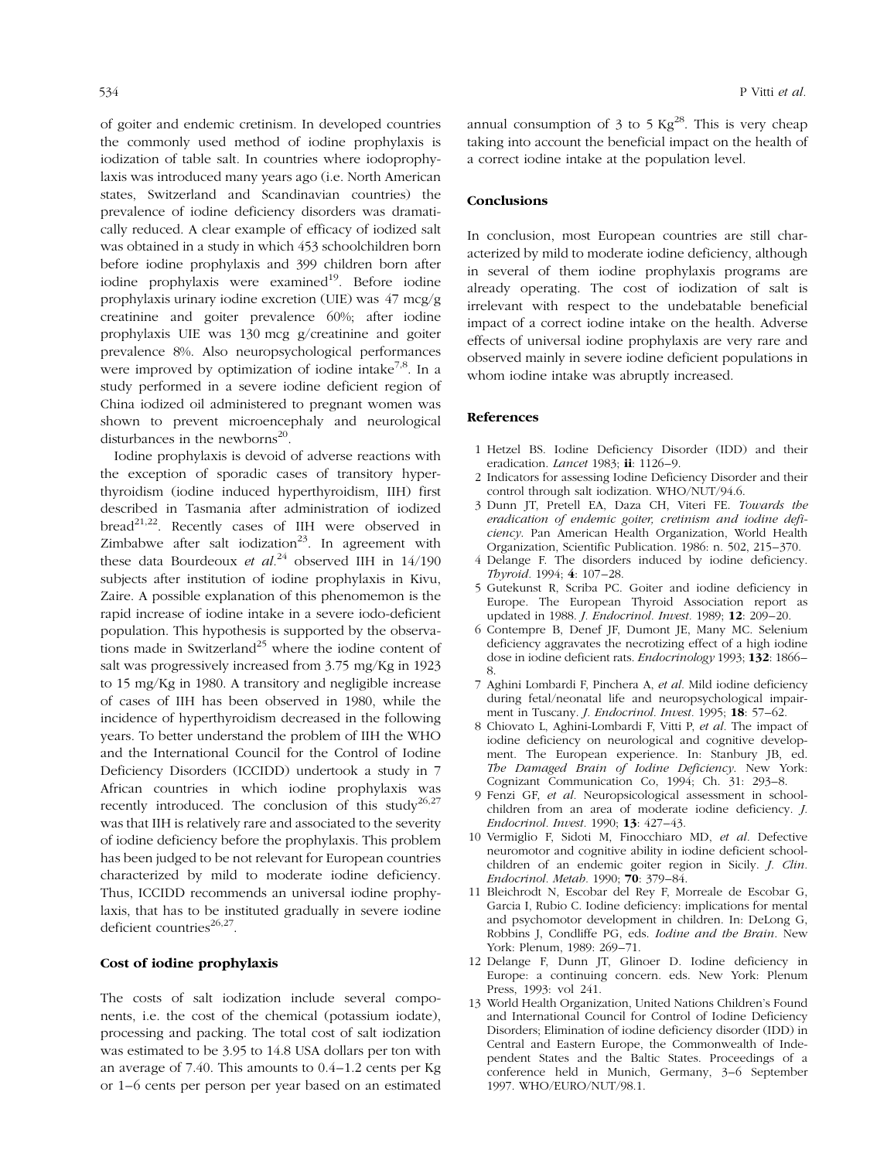of goiter and endemic cretinism. In developed countries the commonly used method of iodine prophylaxis is iodization of table salt. In countries where iodoprophylaxis was introduced many years ago (i.e. North American states, Switzerland and Scandinavian countries) the prevalence of iodine deficiency disorders was dramatically reduced. A clear example of efficacy of iodized salt was obtained in a study in which 453 schoolchildren born before iodine prophylaxis and 399 children born after iodine prophylaxis were examined $19$ . Before iodine prophylaxis urinary iodine excretion (UIE) was 47 mcg/g creatinine and goiter prevalence 60%; after iodine prophylaxis UIE was 130 mcg g/creatinine and goiter prevalence 8%. Also neuropsychological performances were improved by optimization of iodine intake<sup>7,8</sup>. In a study performed in a severe iodine deficient region of China iodized oil administered to pregnant women was shown to prevent microencephaly and neurological disturbances in the newborns $^{20}$ .

Iodine prophylaxis is devoid of adverse reactions with the exception of sporadic cases of transitory hyperthyroidism (iodine induced hyperthyroidism, IIH) first described in Tasmania after administration of iodized bread<sup>21,22</sup>. Recently cases of IIH were observed in Zimbabwe after salt iodization<sup>23</sup>. In agreement with these data Bourdeoux et  $al^{24}$  observed IIH in 14/190 subjects after institution of iodine prophylaxis in Kivu, Zaire. A possible explanation of this phenomemon is the rapid increase of iodine intake in a severe iodo-deficient population. This hypothesis is supported by the observations made in Switzerland<sup>25</sup> where the iodine content of salt was progressively increased from 3.75 mg/Kg in 1923 to 15 mg/Kg in 1980. A transitory and negligible increase of cases of IIH has been observed in 1980, while the incidence of hyperthyroidism decreased in the following years. To better understand the problem of IIH the WHO and the International Council for the Control of Iodine Deficiency Disorders (ICCIDD) undertook a study in 7 African countries in which iodine prophylaxis was recently introduced. The conclusion of this study<sup>26,27</sup> was that IIH is relatively rare and associated to the severity of iodine deficiency before the prophylaxis. This problem has been judged to be not relevant for European countries characterized by mild to moderate iodine deficiency. Thus, ICCIDD recommends an universal iodine prophylaxis, that has to be instituted gradually in severe iodine deficient countries $26,27$ .

### Cost of iodine prophylaxis

The costs of salt iodization include several components, i.e. the cost of the chemical (potassium iodate), processing and packing. The total cost of salt iodization was estimated to be 3.95 to 14.8 USA dollars per ton with an average of  $7.40$ . This amounts to  $0.4-1.2$  cents per Kg or 1±6 cents per person per year based on an estimated annual consumption of 3 to 5 Kg<sup>28</sup>. This is very cheap taking into account the beneficial impact on the health of a correct iodine intake at the population level.

#### Conclusions

In conclusion, most European countries are still characterized by mild to moderate iodine deficiency, although in several of them iodine prophylaxis programs are already operating. The cost of iodization of salt is irrelevant with respect to the undebatable beneficial impact of a correct iodine intake on the health. Adverse effects of universal iodine prophylaxis are very rare and observed mainly in severe iodine deficient populations in whom iodine intake was abruptly increased.

#### References

- 1 Hetzel BS. Iodine Deficiency Disorder (IDD) and their eradication. Lancet 1983;  $\mathbf{ii}$ : 1126-9.
- 2 Indicators for assessing Iodine Deficiency Disorder and their control through salt iodization. WHO/NUT/94.6.
- 3 Dunn JT, Pretell EA, Daza CH, Viteri FE. Towards the eradication of endemic goiter, cretinism and iodine deficiency. Pan American Health Organization, World Health Organization, Scientific Publication. 1986: n. 502, 215-370.
- 4 Delange F. The disorders induced by iodine deficiency. Thyroid. 1994; 4: 107-28.
- 5 Gutekunst R, Scriba PC. Goiter and iodine deficiency in Europe. The European Thyroid Association report as updated in 1988. *J. Endocrinol. Invest.* 1989; **12**: 209-20.
- 6 Contempre B, Denef JF, Dumont JE, Many MC. Selenium deficiency aggravates the necrotizing effect of a high iodine dose in iodine deficient rats. Endocrinology 1993; 132: 1866-8.
- 7 Aghini Lombardi F, Pinchera A, et al. Mild iodine deficiency during fetal/neonatal life and neuropsychological impairment in Tuscany. J. Endocrinol. Invest. 1995; 18: 57-62.
- 8 Chiovato L, Aghini-Lombardi F, Vitti P, et al. The impact of iodine deficiency on neurological and cognitive development. The European experience. In: Stanbury JB, ed. The Damaged Brain of Iodine Deficiency. New York: Cognizant Communication Co, 1994; Ch. 31: 293-8.
- 9 Fenzi GF, et al. Neuropsicological assessment in schoolchildren from an area of moderate iodine deficiency. J. Endocrinol. Invest. 1990; 13: 427-43.
- 10 Vermiglio F, Sidoti M, Finocchiaro MD, et al. Defective neuromotor and cognitive ability in iodine deficient schoolchildren of an endemic goiter region in Sicily. J. Clin. Endocrinol. Metab. 1990; 70: 379-84.
- 11 Bleichrodt N, Escobar del Rey F, Morreale de Escobar G, Garcia I, Rubio C. Iodine deficiency: implications for mental and psychomotor development in children. In: DeLong G, Robbins J, Condliffe PG, eds. Iodine and the Brain. New York: Plenum, 1989: 269-71.
- 12 Delange F, Dunn JT, Glinoer D. Iodine deficiency in Europe: a continuing concern. eds. New York: Plenum Press, 1993: vol 241.
- 13 World Health Organization, United Nations Children's Found and International Council for Control of Iodine Deficiency Disorders; Elimination of iodine deficiency disorder (IDD) in Central and Eastern Europe, the Commonwealth of Independent States and the Baltic States. Proceedings of a conference held in Munich, Germany, 3-6 September 1997. WHO/EURO/NUT/98.1.